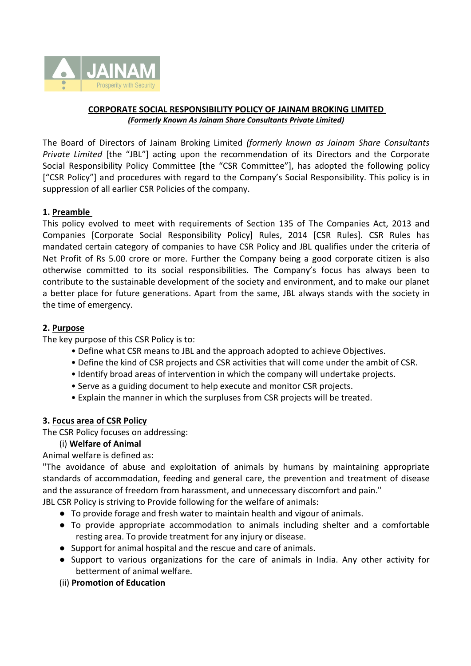

# **CORPORATE SOCIAL RESPONSIBILITY POLICY OF JAINAM BROKING LIMITED** *(Formerly Known As Jainam Share ConsultantsPrivate Limited)*

The Board of Directors of Jainam Broking Limited *(formerly known as Jainam Share Consultants Private Limited* [the "JBL"] acting upon the recommendation of its Directors and the Corporate Social Responsibility Policy Committee [the "CSR Committee"], has adopted the following policy ["CSR Policy"] and procedures with regard to the Company's Social Responsibility. This policy is in suppression of all earlier CSR Policies of the company.

### **1. Preamble**

This policy evolved to meet with requirements of Section 135 of The Companies Act, 2013 and Companies [Corporate Social Responsibility Policy] Rules, 2014 [CSR Rules]. CSR Rules has mandated certain category of companies to have CSR Policy and JBL qualifies under the criteria of Net Profit of Rs 5.00 crore or more. Further the Company being a good corporate citizen is also otherwise committed to its social responsibilities. The Company's focus has always been to contribute to the sustainable development of the society and environment, and to make our planet a better place for future generations. Apart from the same, JBL always stands with the society in the time of emergency.

## **2. Purpose**

The key purpose of this CSR Policy is to:

- Define what CSR meansto JBL and the approach adopted to achieve Objectives.
- Define the kind of CSR projects and CSR activities that will come under the ambit of CSR.
- Identify broad areas of intervention in which the company will undertake projects.
- Serve as a guiding document to help execute and monitor CSR projects.
- Explain the manner in which the surpluses from CSR projects will be treated.

#### **3. Focus area of CSR Policy**

The CSR Policy focuses on addressing:

# (i) **Welfare of Animal**

Animal welfare is defined as:

"The avoidance of abuse and exploitation of animals by humans by maintaining appropriate standards of accommodation, feeding and general care, the prevention and treatment of disease and the assurance of freedom from harassment, and unnecessary discomfort and pain."

JBL CSR Policy is striving to Provide following for the welfare of animals:

- To provide forage and fresh water to maintain health and vigour of animals.
- To provide appropriate accommodation to animals including shelter and a comfortable resting area. To provide treatment for any injury or disease.
- Support for animal hospital and the rescue and care of animals.
- Support to various organizations for the care of animals in India. Any other activity for betterment of animal welfare.
- (ii) **Promotion of Education**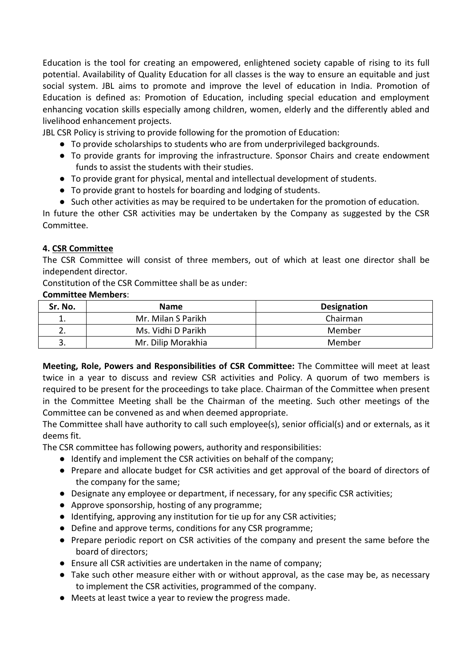Education is the tool for creating an empowered, enlightened society capable of rising to its full potential. Availability of Quality Education for all classes is the way to ensure an equitable and just social system. JBL aims to promote and improve the level of education in India. Promotion of Education is defined as: Promotion of Education, including special education and employment enhancing vocation skills especially among children, women, elderly and the differently abled and livelihood enhancement projects.

JBL CSR Policy is striving to provide following for the promotion of Education:

- To provide scholarships to students who are from underprivileged backgrounds.
- To provide grants for improving the infrastructure. Sponsor Chairs and create endowment funds to assist the students with their studies.
- To provide grant for physical, mental and intellectual development of students.
- To provide grant to hostels for boarding and lodging of students.
- Such other activities as may be required to be undertaken for the promotion of education.

In future the other CSR activities may be undertaken by the Company as suggested by the CSR Committee.

### **4. CSR Committee**

The CSR Committee will consist of three members, out of which at least one director shall be independent director.

Constitution of the CSR Committee shall be as under:

#### **Committee Members**:

| Sr. No. | <b>Name</b>        | <b>Designation</b> |
|---------|--------------------|--------------------|
| ∸.      | Mr. Milan S Parikh | Chairman           |
|         | Ms. Vidhi D Parikh | Member             |
| J.      | Mr. Dilip Morakhia | Member             |

**Meeting, Role, Powers and Responsibilities of CSR Committee:** The Committee will meet at least twice in a year to discuss and review CSR activities and Policy. A quorum of two members is required to be present for the proceedings to take place. Chairman of the Committee when present in the Committee Meeting shall be the Chairman of the meeting. Such other meetings of the Committee can be convened as and when deemed appropriate.

The Committee shall have authority to call such employee(s), senior official(s) and or externals, as it deems fit.

The CSR committee has following powers, authority and responsibilities:

- Identify and implement the CSR activities on behalf of the company;
- Prepare and allocate budget for CSR activities and get approval of the board of directors of the company for the same;
- Designate any employee or department, if necessary, for any specific CSR activities;
- Approve sponsorship, hosting of any programme;
- Identifying, approving any institution for tie up for any CSR activities;
- Define and approve terms, conditions for any CSR programme;
- Prepare periodic report on CSR activities of the company and present the same before the board of directors;
- Ensure all CSR activities are undertaken in the name of company;
- Take such other measure either with or without approval, as the case may be, as necessary to implement the CSR activities, programmed of the company.
- Meets atleast twice a year to review the progress made.